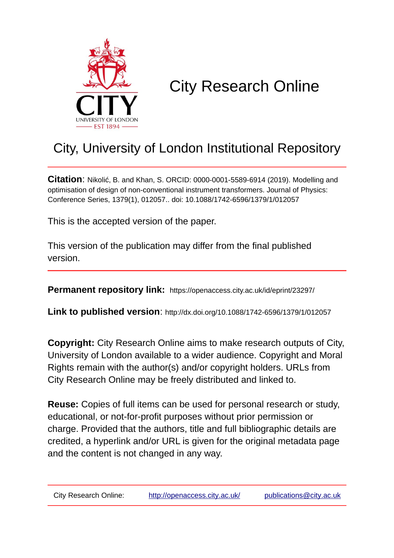

# City Research Online

## City, University of London Institutional Repository

**Citation**: Nikolić, B. and Khan, S. ORCID: 0000-0001-5589-6914 (2019). Modelling and optimisation of design of non-conventional instrument transformers. Journal of Physics: Conference Series, 1379(1), 012057.. doi: 10.1088/1742-6596/1379/1/012057

This is the accepted version of the paper.

This version of the publication may differ from the final published version.

**Permanent repository link:** https://openaccess.city.ac.uk/id/eprint/23297/

**Link to published version**: http://dx.doi.org/10.1088/1742-6596/1379/1/012057

**Copyright:** City Research Online aims to make research outputs of City, University of London available to a wider audience. Copyright and Moral Rights remain with the author(s) and/or copyright holders. URLs from City Research Online may be freely distributed and linked to.

**Reuse:** Copies of full items can be used for personal research or study, educational, or not-for-profit purposes without prior permission or charge. Provided that the authors, title and full bibliographic details are credited, a hyperlink and/or URL is given for the original metadata page and the content is not changed in any way.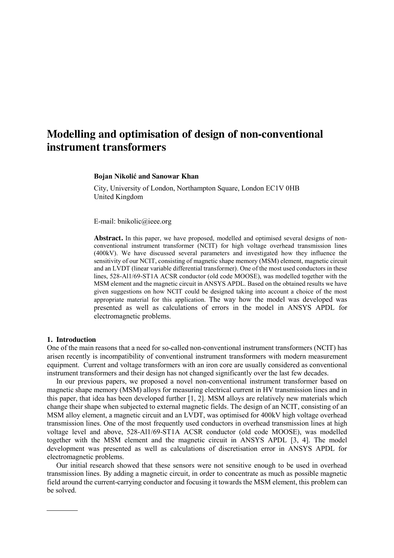### **Modelling and optimisation of design of non-conventional instrument transformers**

#### **Bojan Nikolić and Sanowar Khan**

City, University of London, Northampton Square, London EC1V 0HB United Kingdom

E-mail: bnikolic@ieee.org

**Abstract.** In this paper, we have proposed, modelled and optimised several designs of nonconventional instrument transformer (NCIT) for high voltage overhead transmission lines (400kV). We have discussed several parameters and investigated how they influence the sensitivity of our NCIT, consisting of magnetic shape memory (MSM) element, magnetic circuit and an LVDT (linear variable differential transformer). One of the most used conductors in these lines, 528-Al1/69-ST1A ACSR conductor (old code MOOSE), was modelled together with the MSM element and the magnetic circuit in ANSYS APDL. Based on the obtained results we have given suggestions on how NCIT could be designed taking into account a choice of the most appropriate material for this application. The way how the model was developed was presented as well as calculations of errors in the model in ANSYS APDL for electromagnetic problems.

#### **1. Introduction**

One of the main reasons that a need for so-called non-conventional instrument transformers (NCIT) has arisen recently is incompatibility of conventional instrument transformers with modern measurement equipment. Current and voltage transformers with an iron core are usually considered as conventional instrument transformers and their design has not changed significantly over the last few decades.

In our previous papers, we proposed a novel non-conventional instrument transformer based on magnetic shape memory (MSM) alloys for measuring electrical current in HV transmission lines and in this paper, that idea has been developed further [1, 2]. MSM alloys are relatively new materials which change their shape when subjected to external magnetic fields. The design of an NCIT, consisting of an MSM alloy element, a magnetic circuit and an LVDT, was optimised for 400kV high voltage overhead transmission lines. One of the most frequently used conductors in overhead transmission lines at high voltage level and above, 528-Al1/69-ST1A ACSR conductor (old code MOOSE), was modelled together with the MSM element and the magnetic circuit in ANSYS APDL [3, 4]. The model development was presented as well as calculations of discretisation error in ANSYS APDL for electromagnetic problems.

Our initial research showed that these sensors were not sensitive enough to be used in overhead transmission lines. By adding a magnetic circuit, in order to concentrate as much as possible magnetic field around the current-carrying conductor and focusing it towards the MSM element, this problem can be solved.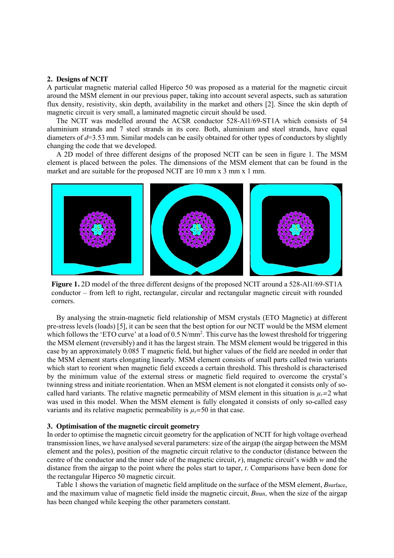#### **2. Designs of NCIT**

A particular magnetic material called Hiperco 50 was proposed as a material for the magnetic circuit around the MSM element in our previous paper, taking into account several aspects, such as saturation flux density, resistivity, skin depth, availability in the market and others [2]. Since the skin depth of magnetic circuit is very small, a laminated magnetic circuit should be used.

The NCIT was modelled around the ACSR conductor 528-Al1/69-ST1A which consists of 54 aluminium strands and 7 steel strands in its core. Both, aluminium and steel strands, have equal diameters of *d*=3.53 mm. Similar models can be easily obtained for other types of conductors by slightly changing the code that we developed.

A 2D model of three different designs of the proposed NCIT can be seen in figure 1. The MSM element is placed between the poles. The dimensions of the MSM element that can be found in the market and are suitable for the proposed NCIT are 10 mm x 3 mm x 1 mm.



**Figure 1.** 2D model of the three different designs of the proposed NCIT around a 528-Al1/69-ST1A conductor – from left to right, rectangular, circular and rectangular magnetic circuit with rounded corners.

By analysing the strain-magnetic field relationship of MSM crystals (ETO Magnetic) at different pre-stress levels (loads) [5], it can be seen that the best option for our NCIT would be the MSM element which follows the 'ETO curve' at a load of 0.5 N/mm<sup>2</sup>. This curve has the lowest threshold for triggering the MSM element (reversibly) and it has the largest strain. The MSM element would be triggered in this case by an approximately 0.085 T magnetic field, but higher values of the field are needed in order that the MSM element starts elongating linearly. MSM element consists of small parts called twin variants which start to reorient when magnetic field exceeds a certain threshold. This threshold is characterised by the minimum value of the external stress or magnetic field required to overcome the crystal's twinning stress and initiate reorientation. When an MSM element is not elongated it consists only of socalled hard variants. The relative magnetic permeability of MSM element in this situation is  $\mu_r=2$  what was used in this model. When the MSM element is fully elongated it consists of only so-called easy variants and its relative magnetic permeability is  $\mu_r = 50$  in that case.

#### **3. Optimisation of the magnetic circuit geometry**

In order to optimise the magnetic circuit geometry for the application of NCIT for high voltage overhead transmission lines, we have analysed several parameters: size of the airgap (the airgap between the MSM element and the poles), position of the magnetic circuit relative to the conductor (distance between the centre of the conductor and the inner side of the magnetic circuit, *r*), magnetic circuit's width *w* and the distance from the airgap to the point where the poles start to taper, *t*. Comparisons have been done for the rectangular Hiperco 50 magnetic circuit.

Table 1 shows the variation of magnetic field amplitude on the surface of the MSM element, *B*surface, and the maximum value of magnetic field inside the magnetic circuit, *B*max, when the size of the airgap has been changed while keeping the other parameters constant.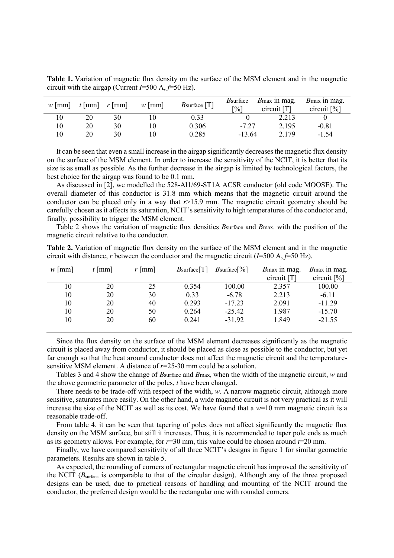| $w$ [mm] | $t$ [mm] | $r \mid \text{mm}$ | $w$   mm | $B$ surface [T] | <i>B</i> surface<br>$\lceil\% \rceil$ | <i>B</i> <sub>max</sub> in mag.<br>circuit [T] | <i>B</i> <sub>max</sub> in mag.<br>circuit [%] |
|----------|----------|--------------------|----------|-----------------|---------------------------------------|------------------------------------------------|------------------------------------------------|
| 10       | 20       | 30                 |          | 0.33            |                                       | 2.213                                          |                                                |
| 10       | 20       | 30                 |          | 0.306           | $-7.27$                               | 2.195                                          | $-0.81$                                        |
| 10       | 20       | 30                 |          | 0.285           | $-13.64$                              | 2 1 7 9                                        | $-1.54$                                        |

Table 1. Variation of magnetic flux density on the surface of the MSM element and in the magnetic circuit with the airgap (Current *I*=500 A, *f*=50 Hz).

It can be seen that even a small increase in the airgap significantly decreases the magnetic flux density on the surface of the MSM element. In order to increase the sensitivity of the NCIT, it is better that its size is as small as possible. As the further decrease in the airgap is limited by technological factors, the best choice for the airgap was found to be 0.1 mm.

As discussed in [2], we modelled the 528-Al1/69-ST1A ACSR conductor (old code MOOSE). The overall diameter of this conductor is 31.8 mm which means that the magnetic circuit around the conductor can be placed only in a way that  $r > 15.9$  mm. The magnetic circuit geometry should be carefully chosen as it affects its saturation, NCIT's sensitivity to high temperatures of the conductor and, finally, possibility to trigger the MSM element.

Table 2 shows the variation of magnetic flux densities *B*surface and *B*max, with the position of the magnetic circuit relative to the conductor.

| Table 2. Variation of magnetic flux density on the surface of the MSM element and in the magnetic              |  |  |  |
|----------------------------------------------------------------------------------------------------------------|--|--|--|
| circuit with distance, r between the conductor and the magnetic circuit $(I=500 \text{ A}, f=50 \text{ Hz})$ . |  |  |  |

| $w$ [mm] | $t$   mm | $r$   mm | $B$ surface $[T]$ | $B\text{surface}[\%]$ | <i>B</i> <sub>max</sub> in mag. | B max in mag.  |
|----------|----------|----------|-------------------|-----------------------|---------------------------------|----------------|
|          |          |          |                   |                       | $circuit$ [T]                   | circuit $[\%]$ |
| 10       | 20       | 25       | 0.354             | 100.00                | 2.357                           | 100.00         |
| 10       | 20       | 30       | 0.33              | $-6.78$               | 2.213                           | $-6.11$        |
| 10       | 20       | 40       | 0.293             | $-17.23$              | 2.091                           | $-11.29$       |
| 10       | 20       | 50       | 0.264             | $-25.42$              | 1.987                           | $-15.70$       |
| 10       | 20       | 60       | 0.241             | $-31.92$              | 1.849                           | $-21.55$       |
|          |          |          |                   |                       |                                 |                |

Since the flux density on the surface of the MSM element decreases significantly as the magnetic circuit is placed away from conductor, it should be placed as close as possible to the conductor, but yet far enough so that the heat around conductor does not affect the magnetic circuit and the temperaturesensitive MSM element. A distance of *r*=25-30 mm could be a solution.

Tables 3 and 4 show the change of *B*surface and *B*max, when the width of the magnetic circuit, *w* and the above geometric parameter of the poles, *t* have been changed.

There needs to be trade-off with respect of the width, *w*. A narrow magnetic circuit, although more sensitive, saturates more easily. On the other hand, a wide magnetic circuit is not very practical as it will increase the size of the NCIT as well as its cost. We have found that a *w*=10 mm magnetic circuit is a reasonable trade-off.

From table 4, it can be seen that tapering of poles does not affect significantly the magnetic flux density on the MSM surface, but still it increases. Thus, it is recommended to taper pole ends as much as its geometry allows. For example, for *r*=30 mm, this value could be chosen around *t*=20 mm.

Finally, we have compared sensitivity of all three NCIT's designs in figure 1 for similar geometric parameters. Results are shown in table 5.

As expected, the rounding of corners of rectangular magnetic circuit has improved the sensitivity of the NCIT (*B*surface is comparable to that of the circular design). Although any of the three proposed designs can be used, due to practical reasons of handling and mounting of the NCIT around the conductor, the preferred design would be the rectangular one with rounded corners.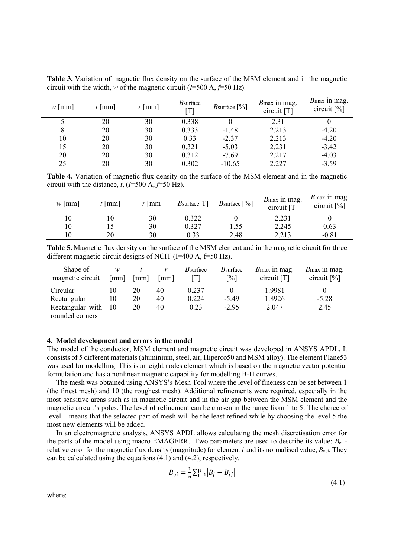| $w$   mm | $t$   mm | $r$ [mm] | $B$ surface<br>fT1 | <i>B</i> surface $[\%]$ | <i>B</i> <sub>max</sub> in mag.<br>circuit [T] | Bmax in mag.<br>circuit $[\%]$ |
|----------|----------|----------|--------------------|-------------------------|------------------------------------------------|--------------------------------|
|          | 20       | 30       | 0.338              |                         | 2.31                                           |                                |
| 8        | 20       | 30       | 0.333              | $-1.48$                 | 2.213                                          | $-4.20$                        |
| 10       | 20       | 30       | 0.33               | $-2.37$                 | 2.213                                          | $-4.20$                        |
| 15       | 20       | 30       | 0.321              | $-5.03$                 | 2.231                                          | $-3.42$                        |
| 20       | 20       | 30       | 0.312              | $-7.69$                 | 2.217                                          | $-4.03$                        |
| 25       | 20       | 30       | 0.302              | $-10.65$                | 2.227                                          | $-3.59$                        |

**Table 3.** Variation of magnetic flux density on the surface of the MSM element and in the magnetic circuit with the width, *w* of the magnetic circuit ( $I=500$  A,  $f=50$  Hz).

**Table 4.** Variation of magnetic flux density on the surface of the MSM element and in the magnetic circuit with the distance,  $t$ , ( $I=500$  A,  $f=50$  Hz).

| $w$   mm | $t$   mm | $r$   mm | $B$ surface $[T]$ | B surface $\lceil\% \rceil$ | <i>B</i> <sub>max</sub> in mag.<br>circuit [T] | <i>B</i> <sub>max</sub> in mag.<br>circuit $[\%]$ |
|----------|----------|----------|-------------------|-----------------------------|------------------------------------------------|---------------------------------------------------|
|          | ν        | 30       | 0.322             |                             | 2.231                                          |                                                   |
| 10       |          | 30       | 0.327             | 1.55                        | 2.245                                          | 0.63                                              |
|          | 20       | 30       | 0.33              | 2.48                        | 2.213                                          | $-0.81$                                           |

**Table 5.** Magnetic flux density on the surface of the MSM element and in the magnetic circuit for three different magnetic circuit designs of NCIT (I=400 A,  $f=50$  Hz).

| Shape of<br>magnetic circuit                                   | w<br>[mm]      | [mm]           | mm             | <i>B</i> surface       | <i>B</i> surface<br>$\lceil \frac{9}{6} \rceil$ | <i>B</i> <sub>max</sub> in mag.<br>circuit [T] | B <sub>max</sub> in mag.<br>circuit $[\%]$ |
|----------------------------------------------------------------|----------------|----------------|----------------|------------------------|-------------------------------------------------|------------------------------------------------|--------------------------------------------|
| Circular<br>Rectangular<br>Rectangular with<br>rounded corners | 10<br>10<br>10 | 20<br>20<br>20 | 40<br>40<br>40 | 0.237<br>0.224<br>0.23 | $-5.49$<br>$-2.95$                              | 1.9981<br>1.8926<br>2.047                      | $-5.28$<br>2.45                            |

#### **4. Model development and errors in the model**

The model of the conductor, MSM element and magnetic circuit was developed in ANSYS APDL. It consists of 5 different materials (aluminium, steel, air, Hiperco50 and MSM alloy). The element Plane53 was used for modelling. This is an eight nodes element which is based on the magnetic vector potential formulation and has a nonlinear magnetic capability for modelling B-H curves.

The mesh was obtained using ANSYS's Mesh Tool where the level of fineness can be set between 1 (the finest mesh) and 10 (the roughest mesh). Additional refinements were required, especially in the most sensitive areas such as in magnetic circuit and in the air gap between the MSM element and the magnetic circuit's poles. The level of refinement can be chosen in the range from 1 to 5. The choice of level 1 means that the selected part of mesh will be the least refined while by choosing the level 5 the most new elements will be added.

In an electromagnetic analysis, ANSYS APDL allows calculating the mesh discretisation error for the parts of the model using macro EMAGERR. Two parameters are used to describe its value: *B*ei relative error for the magnetic flux density (magnitude) for element *i* and its normalised value,  $B_{\text{nei}}$ . They can be calculated using the equations (4.1) and (4.2), respectively.

$$
B_{ei} = \frac{1}{n} \sum_{j=1}^{n} |B_j - B_{ij}|
$$
\n(4.1)

where: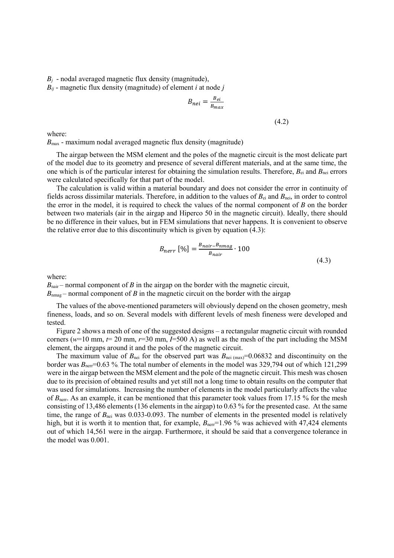$B_i$  - nodal averaged magnetic flux density (magnitude),

*Bij* - magnetic flux density (magnitude) of element *i* at node *j*

$$
B_{nei} = \frac{B_{ei}}{B_{max}}
$$

(4.2)

where:

 $B_{\text{max}}$  - maximum nodal averaged magnetic flux density (magnitude)

The airgap between the MSM element and the poles of the magnetic circuit is the most delicate part of the model due to its geometry and presence of several different materials, and at the same time, the one which is of the particular interest for obtaining the simulation results. Therefore, *B*ei and *B*nei errors were calculated specifically for that part of the model.

The calculation is valid within a material boundary and does not consider the error in continuity of fields across dissimilar materials. Therefore, in addition to the values of *B*ei and *B*nei, in order to control the error in the model, it is required to check the values of the normal component of *B* on the border between two materials (air in the airgap and Hiperco 50 in the magnetic circuit). Ideally, there should be no difference in their values, but in FEM simulations that never happens. It is convenient to observe the relative error due to this discontinuity which is given by equation (4.3):

$$
B_{nerr} [\%] = \frac{B_{nair} - B_{nmag}}{B_{nair}} \cdot 100
$$
\n
$$
(4.3)
$$

where:

 $B<sub>nair</sub>$  – normal component of *B* in the airgap on the border with the magnetic circuit,  $B_{n_{\text{max}}}$  – normal component of *B* in the magnetic circuit on the border with the airgap

The values of the above-mentioned parameters will obviously depend on the chosen geometry, mesh fineness, loads, and so on. Several models with different levels of mesh fineness were developed and tested.

Figure 2 shows a mesh of one of the suggested designs – a rectangular magnetic circuit with rounded corners ( $w=10$  mm,  $t=20$  mm,  $r=30$  mm,  $I=500$  A) as well as the mesh of the part including the MSM element, the airgaps around it and the poles of the magnetic circuit.

The maximum value of  $B_{\text{nei}}$  for the observed part was  $B_{\text{nei}}$  (max)=0.06832 and discontinuity on the border was  $B_{\text{ner}}=0.63$  %. The total number of elements in the model was 329,794 out of which 121,299 were in the airgap between the MSM element and the pole of the magnetic circuit. This mesh was chosen due to its precision of obtained results and yet still not a long time to obtain results on the computer that was used for simulations. Increasing the number of elements in the model particularly affects the value of *B*<sub>nerr</sub>. As an example, it can be mentioned that this parameter took values from 17.15 % for the mesh consisting of 13,486 elements (136 elements in the airgap) to 0.63 % for the presented case. At the same time, the range of  $B_{\text{nei}}$  was 0.033-0.093. The number of elements in the presented model is relatively high, but it is worth it to mention that, for example,  $B_{\text{ner}}=1.96$  % was achieved with 47,424 elements out of which 14,561 were in the airgap. Furthermore, it should be said that a convergence tolerance in the model was 0.001.